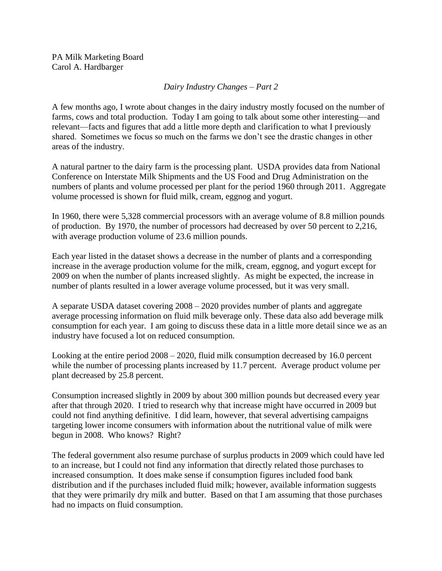PA Milk Marketing Board Carol A. Hardbarger

## *Dairy Industry Changes – Part 2*

A few months ago, I wrote about changes in the dairy industry mostly focused on the number of farms, cows and total production. Today I am going to talk about some other interesting—and relevant—facts and figures that add a little more depth and clarification to what I previously shared. Sometimes we focus so much on the farms we don't see the drastic changes in other areas of the industry.

A natural partner to the dairy farm is the processing plant. USDA provides data from National Conference on Interstate Milk Shipments and the US Food and Drug Administration on the numbers of plants and volume processed per plant for the period 1960 through 2011. Aggregate volume processed is shown for fluid milk, cream, eggnog and yogurt.

In 1960, there were 5,328 commercial processors with an average volume of 8.8 million pounds of production. By 1970, the number of processors had decreased by over 50 percent to 2,216, with average production volume of 23.6 million pounds.

Each year listed in the dataset shows a decrease in the number of plants and a corresponding increase in the average production volume for the milk, cream, eggnog, and yogurt except for 2009 on when the number of plants increased slightly. As might be expected, the increase in number of plants resulted in a lower average volume processed, but it was very small.

A separate USDA dataset covering 2008 – 2020 provides number of plants and aggregate average processing information on fluid milk beverage only. These data also add beverage milk consumption for each year. I am going to discuss these data in a little more detail since we as an industry have focused a lot on reduced consumption.

Looking at the entire period 2008 – 2020, fluid milk consumption decreased by 16.0 percent while the number of processing plants increased by 11.7 percent. Average product volume per plant decreased by 25.8 percent.

Consumption increased slightly in 2009 by about 300 million pounds but decreased every year after that through 2020. I tried to research why that increase might have occurred in 2009 but could not find anything definitive. I did learn, however, that several advertising campaigns targeting lower income consumers with information about the nutritional value of milk were begun in 2008. Who knows? Right?

The federal government also resume purchase of surplus products in 2009 which could have led to an increase, but I could not find any information that directly related those purchases to increased consumption. It does make sense if consumption figures included food bank distribution and if the purchases included fluid milk; however, available information suggests that they were primarily dry milk and butter. Based on that I am assuming that those purchases had no impacts on fluid consumption.